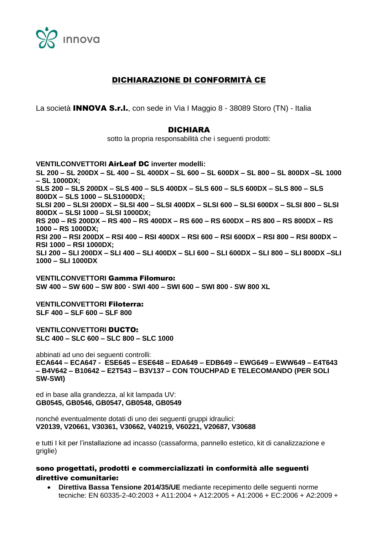

# DICHIARAZIONE DI CONFORMITÀ CE

La società INNOVA S.r.l., con sede in Via I Maggio 8 - 38089 Storo (TN) - Italia

### DICHIARA

sotto la propria responsabilità che i seguenti prodotti:

**VENTILCONVETTORI** AirLeaf DC **inverter modelli: SL 200 – SL 200DX – SL 400 – SL 400DX – SL 600 – SL 600DX – SL 800 – SL 800DX –SL 1000 – SL 1000DX; SLS 200 – SLS 200DX – SLS 400 – SLS 400DX – SLS 600 – SLS 600DX – SLS 800 – SLS 800DX – SLS 1000 – SLS1000DX; SLSI 200 – SLSI 200DX – SLSI 400 – SLSI 400DX – SLSI 600 – SLSI 600DX – SLSI 800 – SLSI 800DX – SLSI 1000 – SLSI 1000DX; RS 200 – RS 200DX – RS 400 – RS 400DX – RS 600 – RS 600DX – RS 800 – RS 800DX – RS 1000 – RS 1000DX; RSI 200 – RSI 200DX – RSI 400 – RSI 400DX – RSI 600 – RSI 600DX – RSI 800 – RSI 800DX – RSI 1000 – RSI 1000DX; SLI 200 – SLI 200DX – SLI 400 – SLI 400DX – SLI 600 – SLI 600DX – SLI 800 – SLI 800DX –SLI 1000 – SLI 1000DX**

**VENTILCONVETTORI** Gamma Filomuro: **SW 400 – SW 600 – SW 800 - SWI 400 – SWI 600 – SWI 800 - SW 800 XL**

**VENTILCONVETTORI** Filoterra: **SLF 400 – SLF 600 – SLF 800**

**VENTILCONVETTORI** DUCTO: **SLC 400 – SLC 600 – SLC 800 – SLC 1000**

abbinati ad uno dei seguenti controlli: **ECA644 – ECA647 - ESE645 – ESE648 – EDA649 – EDB649 – EWG649 – EWW649 – E4T643 – B4V642 – B10642 – E2T543 – B3V137 – CON TOUCHPAD E TELECOMANDO (PER SOLI SW-SWI)**

ed in base alla grandezza, al kit lampada UV: **GB0545, GB0546, GB0547, GB0548, GB0549**

nonché eventualmente dotati di uno dei seguenti gruppi idraulici: **V20139, V20661, V30361, V30662, V40219, V60221, V20687, V30688**

e tutti I kit per l'installazione ad incasso (cassaforma, pannello estetico, kit di canalizzazione e griglie)

#### sono progettati, prodotti e commercializzati in conformità alle seguenti direttive comunitarie:

 **Direttiva Bassa Tensione 2014/35/UE** mediante recepimento delle seguenti norme tecniche: EN 60335-2-40:2003 + A11:2004 + A12:2005 + A1:2006 + EC:2006 + A2:2009 +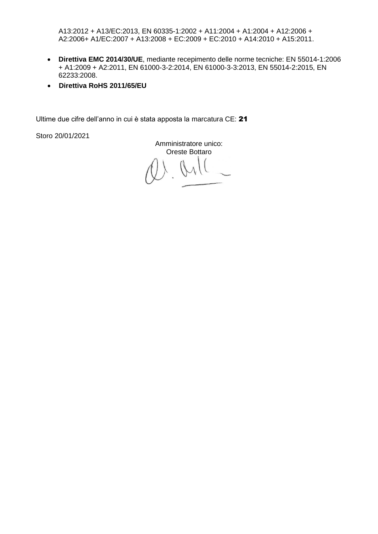A13:2012 + A13/EC:2013, EN 60335-1:2002 + A11:2004 + A1:2004 + A12:2006 + A2:2006+ A1/EC:2007 + A13:2008 + EC:2009 + EC:2010 + A14:2010 + A15:2011.

- **Direttiva EMC 2014/30/UE**, mediante recepimento delle norme tecniche: EN 55014-1:2006 + A1:2009 + A2:2011, EN 61000-3-2:2014, EN 61000-3-3:2013, EN 55014-2:2015, EN 62233:2008.
- **Direttiva RoHS 2011/65/EU**

Ultime due cifre dell'anno in cui è stata apposta la marcatura CE: 21

Storo 20/01/2021

Amministratore unico: Oreste Bottaro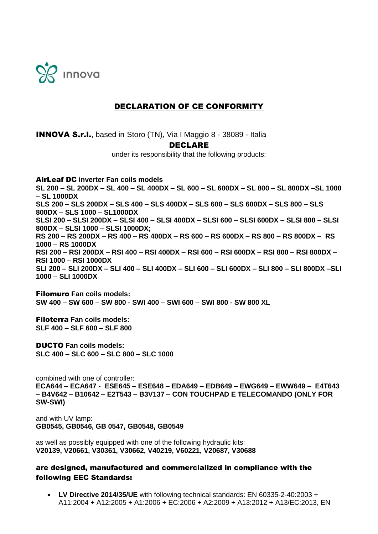

## DECLARATION OF CE CONFORMITY

INNOVA S.r.l., based in Storo (TN), Via I Maggio 8 - 38089 - Italia DECLARE under its responsibility that the following products:

AirLeaf DC **inverter Fan coils models SL 200 – SL 200DX – SL 400 – SL 400DX – SL 600 – SL 600DX – SL 800 – SL 800DX –SL 1000 – SL 1000DX SLS 200 – SLS 200DX – SLS 400 – SLS 400DX – SLS 600 – SLS 600DX – SLS 800 – SLS 800DX – SLS 1000 – SL1000DX SLSI 200 – SLSI 200DX – SLSI 400 – SLSI 400DX – SLSI 600 – SLSI 600DX – SLSI 800 – SLSI 800DX – SLSI 1000 – SLSI 1000DX; RS 200 – RS 200DX – RS 400 – RS 400DX – RS 600 – RS 600DX – RS 800 – RS 800DX – RS 1000 – RS 1000DX RSI 200 – RSI 200DX – RSI 400 – RSI 400DX – RSI 600 – RSI 600DX – RSI 800 – RSI 800DX – RSI 1000 – RSI 1000DX SLI 200 – SLI 200DX – SLI 400 – SLI 400DX – SLI 600 – SLI 600DX – SLI 800 – SLI 800DX –SLI 1000 – SLI 1000DX**

Filomuro **Fan coils models: SW 400 – SW 600 – SW 800 - SWI 400 – SWI 600 – SWI 800 - SW 800 XL**

Filoterra **Fan coils models: SLF 400 – SLF 600 – SLF 800**

DUCTO **Fan coils models: SLC 400 – SLC 600 – SLC 800 – SLC 1000**

combined with one of controller: **ECA644 – ECA647 - ESE645 – ESE648 – EDA649 – EDB649 – EWG649 – EWW649 – E4T643 – B4V642 – B10642 – E2T543 – B3V137 – CON TOUCHPAD E TELECOMANDO (ONLY FOR SW-SWI)**

and with UV lamp: **GB0545, GB0546, GB 0547, GB0548, GB0549**

as well as possibly equipped with one of the following hydraulic kits: **V20139, V20661, V30361, V30662, V40219, V60221, V20687, V30688**

### are designed, manufactured and commercialized in compliance with the following EEC Standards:

 **LV Directive 2014/35/UE** with following technical standards: EN 60335-2-40:2003 + A11:2004 + A12:2005 + A1:2006 + EC:2006 + A2:2009 + A13:2012 + A13/EC:2013, EN